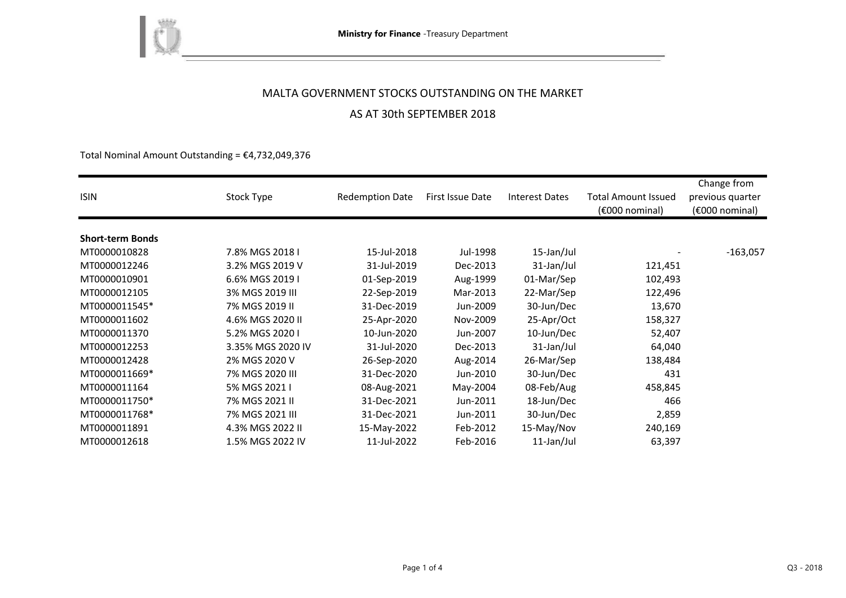

### AS AT 30th SEPTEMBER 2018

Total Nominal Amount Outstanding =  $\epsilon$ 4,732,049,376

| <b>ISIN</b>             | Stock Type        | <b>Redemption Date</b> | First Issue Date | <b>Interest Dates</b> | <b>Total Amount Issued</b><br>$(6000)$ nominal) | Change from<br>previous quarter<br>(€000 nominal) |
|-------------------------|-------------------|------------------------|------------------|-----------------------|-------------------------------------------------|---------------------------------------------------|
|                         |                   |                        |                  |                       |                                                 |                                                   |
| <b>Short-term Bonds</b> |                   |                        |                  |                       |                                                 |                                                   |
| MT0000010828            | 7.8% MGS 2018 I   | 15-Jul-2018            | Jul-1998         | 15-Jan/Jul            |                                                 | $-163,057$                                        |
| MT0000012246            | 3.2% MGS 2019 V   | 31-Jul-2019            | Dec-2013         | 31-Jan/Jul            | 121,451                                         |                                                   |
| MT0000010901            | 6.6% MGS 2019 I   | 01-Sep-2019            | Aug-1999         | 01-Mar/Sep            | 102,493                                         |                                                   |
| MT0000012105            | 3% MGS 2019 III   | 22-Sep-2019            | Mar-2013         | 22-Mar/Sep            | 122,496                                         |                                                   |
| MT0000011545*           | 7% MGS 2019 II    | 31-Dec-2019            | Jun-2009         | 30-Jun/Dec            | 13,670                                          |                                                   |
| MT0000011602            | 4.6% MGS 2020 II  | 25-Apr-2020            | Nov-2009         | 25-Apr/Oct            | 158,327                                         |                                                   |
| MT0000011370            | 5.2% MGS 2020 I   | 10-Jun-2020            | Jun-2007         | 10-Jun/Dec            | 52,407                                          |                                                   |
| MT0000012253            | 3.35% MGS 2020 IV | 31-Jul-2020            | Dec-2013         | 31-Jan/Jul            | 64,040                                          |                                                   |
| MT0000012428            | 2% MGS 2020 V     | 26-Sep-2020            | Aug-2014         | 26-Mar/Sep            | 138,484                                         |                                                   |
| MT0000011669*           | 7% MGS 2020 III   | 31-Dec-2020            | Jun-2010         | 30-Jun/Dec            | 431                                             |                                                   |
| MT0000011164            | 5% MGS 2021 I     | 08-Aug-2021            | May-2004         | 08-Feb/Aug            | 458,845                                         |                                                   |
| MT0000011750*           | 7% MGS 2021 II    | 31-Dec-2021            | Jun-2011         | 18-Jun/Dec            | 466                                             |                                                   |
| MT0000011768*           | 7% MGS 2021 III   | 31-Dec-2021            | Jun-2011         | 30-Jun/Dec            | 2,859                                           |                                                   |
| MT0000011891            | 4.3% MGS 2022 II  | 15-May-2022            | Feb-2012         | 15-May/Nov            | 240,169                                         |                                                   |
| MT0000012618            | 1.5% MGS 2022 IV  | 11-Jul-2022            | Feb-2016         | 11-Jan/Jul            | 63,397                                          |                                                   |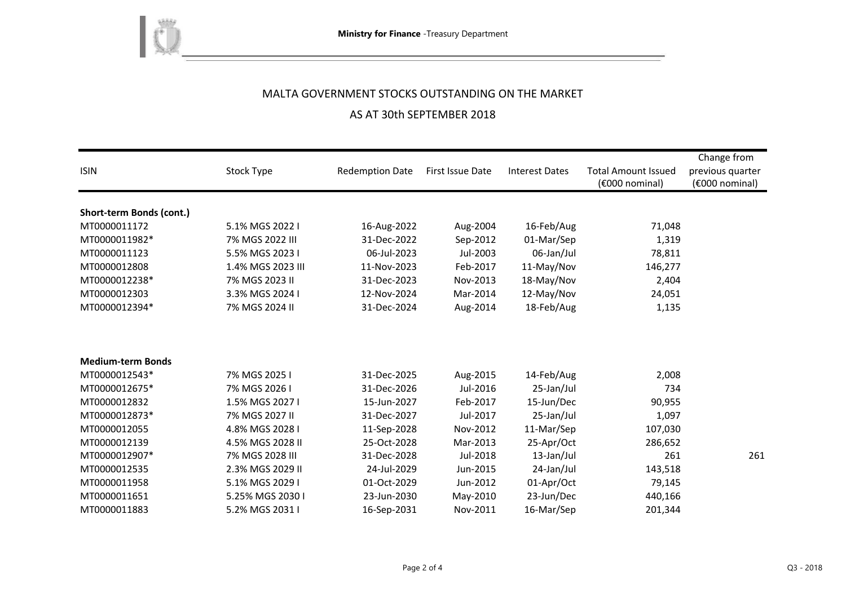

# AS AT 30th SEPTEMBER 2018

|                          |                   |                        |                         |                       |                                              | Change from                        |
|--------------------------|-------------------|------------------------|-------------------------|-----------------------|----------------------------------------------|------------------------------------|
| <b>ISIN</b>              | Stock Type        | <b>Redemption Date</b> | <b>First Issue Date</b> | <b>Interest Dates</b> | <b>Total Amount Issued</b><br>(€000 nominal) | previous quarter<br>(€000 nominal) |
|                          |                   |                        |                         |                       |                                              |                                    |
| Short-term Bonds (cont.) |                   |                        |                         |                       |                                              |                                    |
| MT0000011172             | 5.1% MGS 2022 I   | 16-Aug-2022            | Aug-2004                | 16-Feb/Aug            | 71,048                                       |                                    |
| MT0000011982*            | 7% MGS 2022 III   | 31-Dec-2022            | Sep-2012                | 01-Mar/Sep            | 1,319                                        |                                    |
| MT0000011123             | 5.5% MGS 2023 I   | 06-Jul-2023            | Jul-2003                | 06-Jan/Jul            | 78,811                                       |                                    |
| MT0000012808             | 1.4% MGS 2023 III | 11-Nov-2023            | Feb-2017                | 11-May/Nov            | 146,277                                      |                                    |
| MT0000012238*            | 7% MGS 2023 II    | 31-Dec-2023            | Nov-2013                | 18-May/Nov            | 2,404                                        |                                    |
| MT0000012303             | 3.3% MGS 2024 I   | 12-Nov-2024            | Mar-2014                | 12-May/Nov            | 24,051                                       |                                    |
| MT0000012394*            | 7% MGS 2024 II    | 31-Dec-2024            | Aug-2014                | 18-Feb/Aug            | 1,135                                        |                                    |
|                          |                   |                        |                         |                       |                                              |                                    |
|                          |                   |                        |                         |                       |                                              |                                    |
| <b>Medium-term Bonds</b> |                   |                        |                         |                       |                                              |                                    |
| MT0000012543*            | 7% MGS 2025 I     | 31-Dec-2025            | Aug-2015                | 14-Feb/Aug            | 2,008                                        |                                    |
| MT0000012675*            | 7% MGS 2026 I     | 31-Dec-2026            | Jul-2016                | 25-Jan/Jul            | 734                                          |                                    |
| MT0000012832             | 1.5% MGS 2027 I   | 15-Jun-2027            | Feb-2017                | 15-Jun/Dec            | 90,955                                       |                                    |
| MT0000012873*            | 7% MGS 2027 II    | 31-Dec-2027            | Jul-2017                | 25-Jan/Jul            | 1,097                                        |                                    |
| MT0000012055             | 4.8% MGS 2028 I   | 11-Sep-2028            | Nov-2012                | 11-Mar/Sep            | 107,030                                      |                                    |
| MT0000012139             | 4.5% MGS 2028 II  | 25-Oct-2028            | Mar-2013                | 25-Apr/Oct            | 286,652                                      |                                    |
| MT0000012907*            | 7% MGS 2028 III   | 31-Dec-2028            | Jul-2018                | 13-Jan/Jul            | 261                                          | 261                                |
| MT0000012535             | 2.3% MGS 2029 II  | 24-Jul-2029            | Jun-2015                | 24-Jan/Jul            | 143,518                                      |                                    |
| MT0000011958             | 5.1% MGS 2029 I   | 01-Oct-2029            | Jun-2012                | 01-Apr/Oct            | 79,145                                       |                                    |
| MT0000011651             | 5.25% MGS 2030 I  | 23-Jun-2030            | May-2010                | 23-Jun/Dec            | 440,166                                      |                                    |
| MT0000011883             | 5.2% MGS 2031 I   | 16-Sep-2031            | Nov-2011                | 16-Mar/Sep            | 201,344                                      |                                    |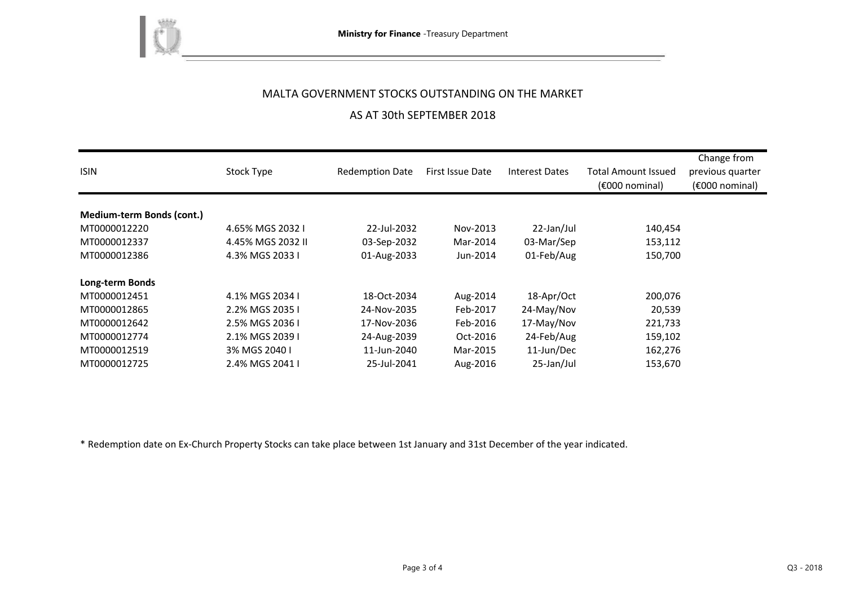

### AS AT 30th SEPTEMBER 2018

| <b>ISIN</b>                      | Stock Type        | <b>Redemption Date</b> | First Issue Date | <b>Interest Dates</b> | <b>Total Amount Issued</b><br>$(6000)$ nominal) | Change from<br>previous quarter<br>(€000 nominal) |
|----------------------------------|-------------------|------------------------|------------------|-----------------------|-------------------------------------------------|---------------------------------------------------|
|                                  |                   |                        |                  |                       |                                                 |                                                   |
| <b>Medium-term Bonds (cont.)</b> |                   |                        |                  |                       |                                                 |                                                   |
| MT0000012220                     | 4.65% MGS 2032 I  | 22-Jul-2032            | Nov-2013         | 22-Jan/Jul            | 140,454                                         |                                                   |
| MT0000012337                     | 4.45% MGS 2032 II | 03-Sep-2032            | Mar-2014         | 03-Mar/Sep            | 153,112                                         |                                                   |
| MT0000012386                     | 4.3% MGS 2033 I   | 01-Aug-2033            | Jun-2014         | 01-Feb/Aug            | 150,700                                         |                                                   |
| Long-term Bonds                  |                   |                        |                  |                       |                                                 |                                                   |
| MT0000012451                     | 4.1% MGS 2034 I   | 18-Oct-2034            | Aug-2014         | 18-Apr/Oct            | 200,076                                         |                                                   |
| MT0000012865                     | 2.2% MGS 2035 I   | 24-Nov-2035            | Feb-2017         | 24-May/Nov            | 20,539                                          |                                                   |
| MT0000012642                     | 2.5% MGS 2036 L   | 17-Nov-2036            | Feb-2016         | 17-May/Nov            | 221,733                                         |                                                   |
| MT0000012774                     | 2.1% MGS 2039 I   | 24-Aug-2039            | Oct-2016         | 24-Feb/Aug            | 159,102                                         |                                                   |
| MT0000012519                     | 3% MGS 2040 I     | 11-Jun-2040            | Mar-2015         | 11-Jun/Dec            | 162,276                                         |                                                   |
| MT0000012725                     | 2.4% MGS 2041 I   | 25-Jul-2041            | Aug-2016         | 25-Jan/Jul            | 153,670                                         |                                                   |

\* Redemption date on Ex-Church Property Stocks can take place between 1st January and 31st December of the year indicated.